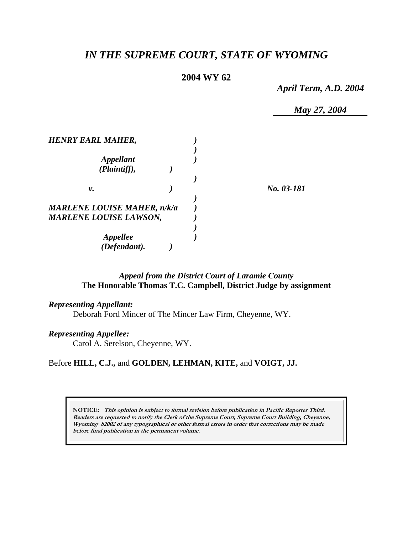# *IN THE SUPREME COURT, STATE OF WYOMING*

# **2004 WY 62**

*April Term, A.D. 2004* 

*May 27, 2004* 

| <b>HENRY EARL MAHER,</b>           |  |            |
|------------------------------------|--|------------|
|                                    |  |            |
| <b>Appellant</b>                   |  |            |
| (Plaintiff),                       |  |            |
|                                    |  |            |
| ν.                                 |  | No. 03-181 |
|                                    |  |            |
| <b>MARLENE LOUISE MAHER, n/k/a</b> |  |            |
| <b>MARLENE LOUISE LAWSON,</b>      |  |            |
|                                    |  |            |
| <i><b>Appellee</b></i>             |  |            |
| (Defendant).                       |  |            |

# *Appeal from the District Court of Laramie County* **The Honorable Thomas T.C. Campbell, District Judge by assignment**

### *Representing Appellant:*

Deborah Ford Mincer of The Mincer Law Firm, Cheyenne, WY.

### *Representing Appellee:*

Carol A. Serelson, Cheyenne, WY.

#### Before **HILL, C.J.,** and **GOLDEN, LEHMAN, KITE,** and **VOIGT, JJ.**

**NOTICE: This opinion is subject to formal revision before publication in Pacific Reporter Third. Readers are requested to notify the Clerk of the Supreme Court, Supreme Court Building, Cheyenne, Wyoming 82002 of any typographical or other formal errors in order that corrections may be made before final publication in the permanent volume.**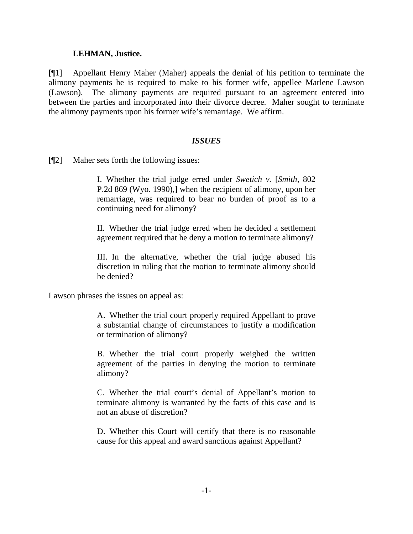### **LEHMAN, Justice.**

[¶1] Appellant Henry Maher (Maher) appeals the denial of his petition to terminate the alimony payments he is required to make to his former wife, appellee Marlene Lawson (Lawson). The alimony payments are required pursuant to an agreement entered into between the parties and incorporated into their divorce decree. Maher sought to terminate the alimony payments upon his former wife's remarriage. We affirm.

# *ISSUES*

[¶2] Maher sets forth the following issues:

I. Whether the trial judge erred under *Swetich v.* [*Smith*, 802 P.2d 869 (Wyo. 1990),] when the recipient of alimony, upon her remarriage, was required to bear no burden of proof as to a continuing need for alimony?

II. Whether the trial judge erred when he decided a settlement agreement required that he deny a motion to terminate alimony?

III. In the alternative, whether the trial judge abused his discretion in ruling that the motion to terminate alimony should be denied?

Lawson phrases the issues on appeal as:

A. Whether the trial court properly required Appellant to prove a substantial change of circumstances to justify a modification or termination of alimony?

B. Whether the trial court properly weighed the written agreement of the parties in denying the motion to terminate alimony?

C. Whether the trial court's denial of Appellant's motion to terminate alimony is warranted by the facts of this case and is not an abuse of discretion?

D. Whether this Court will certify that there is no reasonable cause for this appeal and award sanctions against Appellant?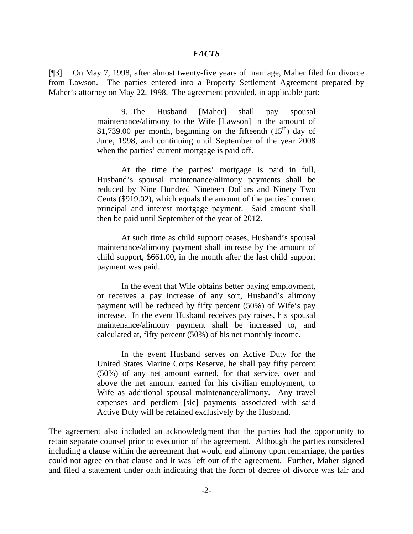#### *FACTS*

[¶3] On May 7, 1998, after almost twenty-five years of marriage, Maher filed for divorce from Lawson. The parties entered into a Property Settlement Agreement prepared by Maher's attorney on May 22, 1998. The agreement provided, in applicable part:

> 9. The Husband [Maher] shall pay spousal maintenance/alimony to the Wife [Lawson] in the amount of \$1,739.00 per month, beginning on the fifteenth  $(15<sup>th</sup>)$  day of June, 1998, and continuing until September of the year 2008 when the parties' current mortgage is paid off.

> At the time the parties' mortgage is paid in full, Husband's spousal maintenance/alimony payments shall be reduced by Nine Hundred Nineteen Dollars and Ninety Two Cents (\$919.02), which equals the amount of the parties' current principal and interest mortgage payment. Said amount shall then be paid until September of the year of 2012.

> At such time as child support ceases, Husband's spousal maintenance/alimony payment shall increase by the amount of child support, \$661.00, in the month after the last child support payment was paid.

> In the event that Wife obtains better paying employment, or receives a pay increase of any sort, Husband's alimony payment will be reduced by fifty percent (50%) of Wife's pay increase. In the event Husband receives pay raises, his spousal maintenance/alimony payment shall be increased to, and calculated at, fifty percent (50%) of his net monthly income.

> In the event Husband serves on Active Duty for the United States Marine Corps Reserve, he shall pay fifty percent (50%) of any net amount earned, for that service, over and above the net amount earned for his civilian employment, to Wife as additional spousal maintenance/alimony. Any travel expenses and perdiem [sic] payments associated with said Active Duty will be retained exclusively by the Husband.

The agreement also included an acknowledgment that the parties had the opportunity to retain separate counsel prior to execution of the agreement. Although the parties considered including a clause within the agreement that would end alimony upon remarriage, the parties could not agree on that clause and it was left out of the agreement. Further, Maher signed and filed a statement under oath indicating that the form of decree of divorce was fair and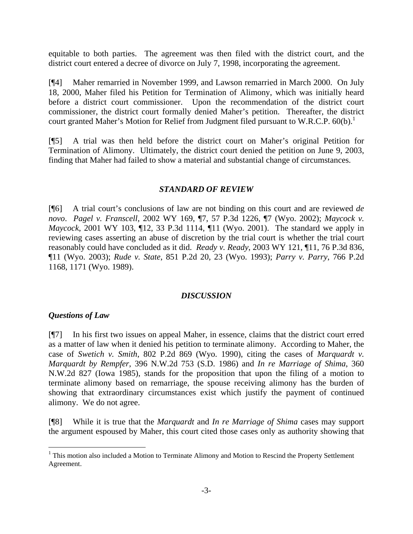equitable to both parties. The agreement was then filed with the district court, and the district court entered a decree of divorce on July 7, 1998, incorporating the agreement.

[¶4] Maher remarried in November 1999, and Lawson remarried in March 2000. On July 18, 2000, Maher filed his Petition for Termination of Alimony, which was initially heard before a district court commissioner. Upon the recommendation of the district court commissioner, the district court formally denied Maher's petition. Thereafter, the district court granted Maher's Motion for Relief from Judgment filed pursuant to W.R.C.P.  $60(b)$ .<sup>1</sup>

[¶5] A trial was then held before the district court on Maher's original Petition for Termination of Alimony. Ultimately, the district court denied the petition on June 9, 2003, finding that Maher had failed to show a material and substantial change of circumstances.

# *STANDARD OF REVIEW*

[¶6] A trial court's conclusions of law are not binding on this court and are reviewed *de novo*. *Pagel v. Franscell*, 2002 WY 169, ¶7, 57 P.3d 1226, ¶7 (Wyo. 2002); *Maycock v. Maycock*, 2001 WY 103, ¶12, 33 P.3d 1114, ¶11 (Wyo. 2001). The standard we apply in reviewing cases asserting an abuse of discretion by the trial court is whether the trial court reasonably could have concluded as it did. *Ready v. Ready*, 2003 WY 121, ¶11, 76 P.3d 836, ¶11 (Wyo. 2003); *Rude v. State*, 851 P.2d 20, 23 (Wyo. 1993); *Parry v. Parry*, 766 P.2d 1168, 1171 (Wyo. 1989).

# *DISCUSSION*

# *Questions of Law*

l

[¶7] In his first two issues on appeal Maher, in essence, claims that the district court erred as a matter of law when it denied his petition to terminate alimony. According to Maher, the case of *Swetich v. Smith*, 802 P.2d 869 (Wyo. 1990), citing the cases of *Marquardt v. Marquardt by Rempfer*, 396 N.W.2d 753 (S.D. 1986) and *In re Marriage of Shima*, 360 N.W.2d 827 (Iowa 1985), stands for the proposition that upon the filing of a motion to terminate alimony based on remarriage, the spouse receiving alimony has the burden of showing that extraordinary circumstances exist which justify the payment of continued alimony. We do not agree.

[¶8] While it is true that the *Marquardt* and *In re Marriage of Shima* cases may support the argument espoused by Maher, this court cited those cases only as authority showing that

<sup>&</sup>lt;sup>1</sup> This motion also included a Motion to Terminate Alimony and Motion to Rescind the Property Settlement Agreement.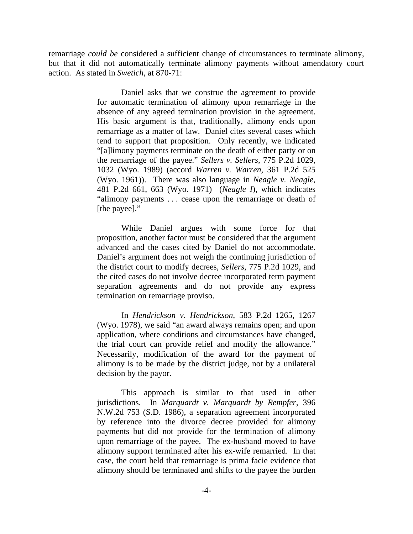remarriage *could be* considered a sufficient change of circumstances to terminate alimony, but that it did not automatically terminate alimony payments without amendatory court action. As stated in *Swetich*, at 870-71:

> Daniel asks that we construe the agreement to provide for automatic termination of alimony upon remarriage in the absence of any agreed termination provision in the agreement. His basic argument is that, traditionally, alimony ends upon remarriage as a matter of law. Daniel cites several cases which tend to support that proposition. Only recently, we indicated "[a]limony payments terminate on the death of either party or on the remarriage of the payee." *Sellers v. Sellers*, 775 P.2d 1029, 1032 (Wyo. 1989) (accord *Warren v. Warren*, 361 P.2d 525 (Wyo. 1961)). There was also language in *Neagle v. Neagle*, 481 P.2d 661, 663 (Wyo. 1971) (*Neagle I*), which indicates "alimony payments . . . cease upon the remarriage or death of [the payee]."

> While Daniel argues with some force for that proposition, another factor must be considered that the argument advanced and the cases cited by Daniel do not accommodate. Daniel's argument does not weigh the continuing jurisdiction of the district court to modify decrees, *Sellers*, 775 P.2d 1029, and the cited cases do not involve decree incorporated term payment separation agreements and do not provide any express termination on remarriage proviso.

> In *Hendrickson v. Hendrickson*, 583 P.2d 1265, 1267 (Wyo. 1978), we said "an award always remains open; and upon application, where conditions and circumstances have changed, the trial court can provide relief and modify the allowance." Necessarily, modification of the award for the payment of alimony is to be made by the district judge, not by a unilateral decision by the payor.

> This approach is similar to that used in other jurisdictions. In *Marquardt v. Marquardt by Rempfer*, 396 N.W.2d 753 (S.D. 1986), a separation agreement incorporated by reference into the divorce decree provided for alimony payments but did not provide for the termination of alimony upon remarriage of the payee. The ex-husband moved to have alimony support terminated after his ex-wife remarried. In that case, the court held that remarriage is prima facie evidence that alimony should be terminated and shifts to the payee the burden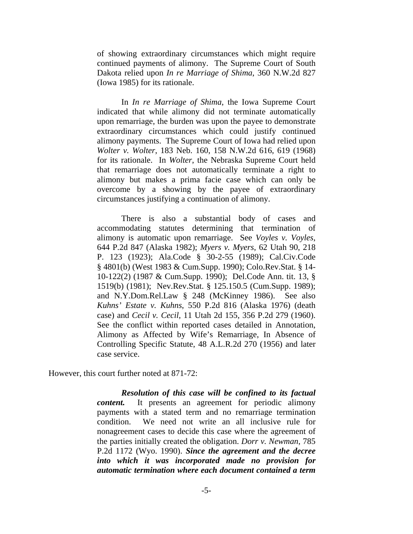of showing extraordinary circumstances which might require continued payments of alimony. The Supreme Court of South Dakota relied upon *In re Marriage of Shima*, 360 N.W.2d 827 (Iowa 1985) for its rationale.

 In *In re Marriage of Shima*, the Iowa Supreme Court indicated that while alimony did not terminate automatically upon remarriage, the burden was upon the payee to demonstrate extraordinary circumstances which could justify continued alimony payments. The Supreme Court of Iowa had relied upon *Wolter v. Wolter*, 183 Neb. 160, 158 N.W.2d 616, 619 (1968) for its rationale. In *Wolter*, the Nebraska Supreme Court held that remarriage does not automatically terminate a right to alimony but makes a prima facie case which can only be overcome by a showing by the payee of extraordinary circumstances justifying a continuation of alimony.

 There is also a substantial body of cases and accommodating statutes determining that termination of alimony is automatic upon remarriage. See *Voyles v. Voyles*, 644 P.2d 847 (Alaska 1982); *Myers v. Myers*, 62 Utah 90, 218 P. 123 (1923); Ala.Code § 30-2-55 (1989); Cal.Civ.Code § 4801(b) (West 1983 & Cum.Supp. 1990); Colo.Rev.Stat. § 14- 10-122(2) (1987 & Cum.Supp. 1990); Del.Code Ann. tit. 13, § 1519(b) (1981); Nev.Rev.Stat. § 125.150.5 (Cum.Supp. 1989); and N.Y.Dom.Rel.Law § 248 (McKinney 1986). See also *Kuhns' Estate v. Kuhns*, 550 P.2d 816 (Alaska 1976) (death case) and *Cecil v. Cecil*, 11 Utah 2d 155, 356 P.2d 279 (1960). See the conflict within reported cases detailed in Annotation, Alimony as Affected by Wife's Remarriage, In Absence of Controlling Specific Statute, 48 A.L.R.2d 270 (1956) and later case service.

However, this court further noted at 871-72:

 *Resolution of this case will be confined to its factual content.* It presents an agreement for periodic alimony payments with a stated term and no remarriage termination condition. We need not write an all inclusive rule for nonagreement cases to decide this case where the agreement of the parties initially created the obligation. *Dorr v. Newman*, 785 P.2d 1172 (Wyo. 1990). *Since the agreement and the decree into which it was incorporated made no provision for automatic termination where each document contained a term*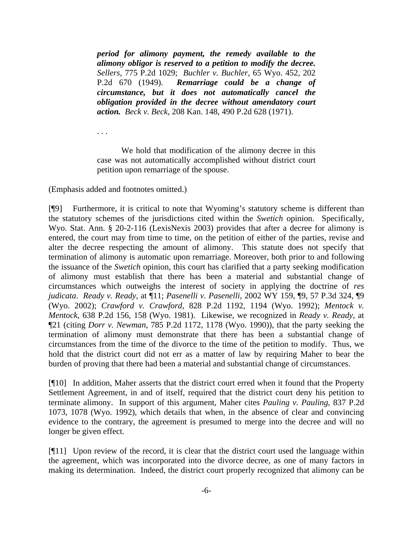*period for alimony payment, the remedy available to the alimony obligor is reserved to a petition to modify the decree. Sellers*, 775 P.2d 1029; *Buchler v. Buchler*, 65 Wyo. 452, 202 P.2d 670 (1949). *Remarriage could be a change of circumstance, but it does not automatically cancel the obligation provided in the decree without amendatory court action. Beck v. Beck*, 208 Kan. 148, 490 P.2d 628 (1971).

. . .

 We hold that modification of the alimony decree in this case was not automatically accomplished without district court petition upon remarriage of the spouse.

(Emphasis added and footnotes omitted.)

[¶9] Furthermore, it is critical to note that Wyoming's statutory scheme is different than the statutory schemes of the jurisdictions cited within the *Swetich* opinion. Specifically, Wyo. Stat. Ann. § 20-2-116 (LexisNexis 2003) provides that after a decree for alimony is entered, the court may from time to time, on the petition of either of the parties, revise and alter the decree respecting the amount of alimony. This statute does not specify that termination of alimony is automatic upon remarriage. Moreover, both prior to and following the issuance of the *Swetich* opinion, this court has clarified that a party seeking modification of alimony must establish that there has been a material and substantial change of circumstances which outweighs the interest of society in applying the doctrine of *res judicata*. *Ready v. Ready*, at ¶11; *Pasenelli v. Pasenelli*, 2002 WY 159, ¶9, 57 P.3d 324, ¶9 (Wyo. 2002); *Crawford v. Crawford*, 828 P.2d 1192, 1194 (Wyo. 1992); *Mentock v. Mentock*, 638 P.2d 156, 158 (Wyo. 1981). Likewise, we recognized in *Ready v. Ready*, at ¶21 (citing *Dorr v. Newman*, 785 P.2d 1172, 1178 (Wyo. 1990)), that the party seeking the termination of alimony must demonstrate that there has been a substantial change of circumstances from the time of the divorce to the time of the petition to modify. Thus, we hold that the district court did not err as a matter of law by requiring Maher to bear the burden of proving that there had been a material and substantial change of circumstances.

[¶10] In addition, Maher asserts that the district court erred when it found that the Property Settlement Agreement, in and of itself, required that the district court deny his petition to terminate alimony. In support of this argument, Maher cites *Pauling v. Pauling*, 837 P.2d 1073, 1078 (Wyo. 1992), which details that when, in the absence of clear and convincing evidence to the contrary, the agreement is presumed to merge into the decree and will no longer be given effect.

[¶11] Upon review of the record, it is clear that the district court used the language within the agreement, which was incorporated into the divorce decree, as one of many factors in making its determination. Indeed, the district court properly recognized that alimony can be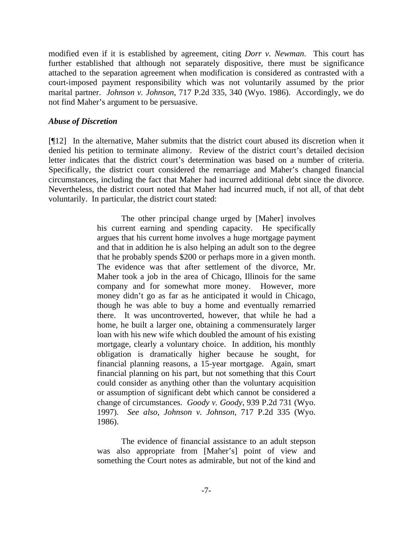modified even if it is established by agreement, citing *Dorr v. Newman*. This court has further established that although not separately dispositive, there must be significance attached to the separation agreement when modification is considered as contrasted with a court-imposed payment responsibility which was not voluntarily assumed by the prior marital partner. *Johnson v. Johnson*, 717 P.2d 335, 340 (Wyo. 1986). Accordingly, we do not find Maher's argument to be persuasive.

# *Abuse of Discretion*

[¶12] In the alternative, Maher submits that the district court abused its discretion when it denied his petition to terminate alimony. Review of the district court's detailed decision letter indicates that the district court's determination was based on a number of criteria. Specifically, the district court considered the remarriage and Maher's changed financial circumstances, including the fact that Maher had incurred additional debt since the divorce. Nevertheless, the district court noted that Maher had incurred much, if not all, of that debt voluntarily. In particular, the district court stated:

> The other principal change urged by [Maher] involves his current earning and spending capacity. He specifically argues that his current home involves a huge mortgage payment and that in addition he is also helping an adult son to the degree that he probably spends \$200 or perhaps more in a given month. The evidence was that after settlement of the divorce, Mr. Maher took a job in the area of Chicago, Illinois for the same company and for somewhat more money. However, more money didn't go as far as he anticipated it would in Chicago, though he was able to buy a home and eventually remarried there. It was uncontroverted, however, that while he had a home, he built a larger one, obtaining a commensurately larger loan with his new wife which doubled the amount of his existing mortgage, clearly a voluntary choice. In addition, his monthly obligation is dramatically higher because he sought, for financial planning reasons, a 15-year mortgage. Again, smart financial planning on his part, but not something that this Court could consider as anything other than the voluntary acquisition or assumption of significant debt which cannot be considered a change of circumstances. *Goody v. Goody*, 939 P.2d 731 (Wyo. 1997). *See also*, *Johnson v. Johnson*, 717 P.2d 335 (Wyo. 1986).

> The evidence of financial assistance to an adult stepson was also appropriate from [Maher's] point of view and something the Court notes as admirable, but not of the kind and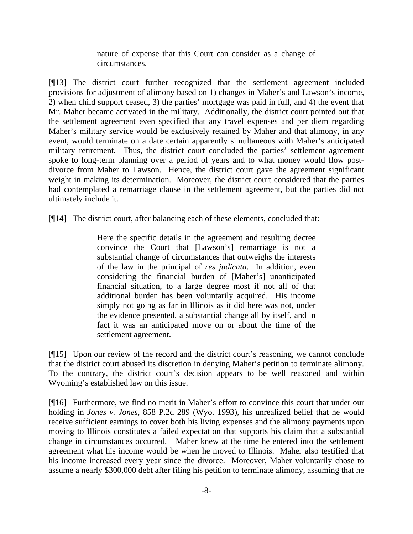nature of expense that this Court can consider as a change of circumstances.

[¶13] The district court further recognized that the settlement agreement included provisions for adjustment of alimony based on 1) changes in Maher's and Lawson's income, 2) when child support ceased, 3) the parties' mortgage was paid in full, and 4) the event that Mr. Maher became activated in the military. Additionally, the district court pointed out that the settlement agreement even specified that any travel expenses and per diem regarding Maher's military service would be exclusively retained by Maher and that alimony, in any event, would terminate on a date certain apparently simultaneous with Maher's anticipated military retirement. Thus, the district court concluded the parties' settlement agreement spoke to long-term planning over a period of years and to what money would flow postdivorce from Maher to Lawson. Hence, the district court gave the agreement significant weight in making its determination. Moreover, the district court considered that the parties had contemplated a remarriage clause in the settlement agreement, but the parties did not ultimately include it.

[¶14] The district court, after balancing each of these elements, concluded that:

Here the specific details in the agreement and resulting decree convince the Court that [Lawson's] remarriage is not a substantial change of circumstances that outweighs the interests of the law in the principal of *res judicata*. In addition, even considering the financial burden of [Maher's] unanticipated financial situation, to a large degree most if not all of that additional burden has been voluntarily acquired. His income simply not going as far in Illinois as it did here was not, under the evidence presented, a substantial change all by itself, and in fact it was an anticipated move on or about the time of the settlement agreement.

[¶15] Upon our review of the record and the district court's reasoning, we cannot conclude that the district court abused its discretion in denying Maher's petition to terminate alimony. To the contrary, the district court's decision appears to be well reasoned and within Wyoming's established law on this issue.

[¶16] Furthermore, we find no merit in Maher's effort to convince this court that under our holding in *Jones v. Jones*, 858 P.2d 289 (Wyo. 1993), his unrealized belief that he would receive sufficient earnings to cover both his living expenses and the alimony payments upon moving to Illinois constitutes a failed expectation that supports his claim that a substantial change in circumstances occurred. Maher knew at the time he entered into the settlement agreement what his income would be when he moved to Illinois. Maher also testified that his income increased every year since the divorce. Moreover, Maher voluntarily chose to assume a nearly \$300,000 debt after filing his petition to terminate alimony, assuming that he